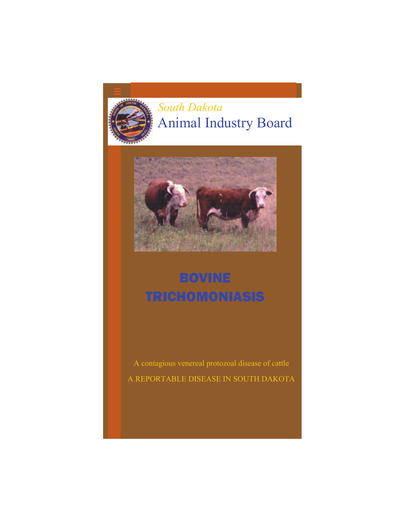

## *South Dakota*  Animal Industry Board



# BOVINE TRICHOMONIASIS

A contagious venereal protozoal disease of cattle A REPORTABLE DISEASE IN SOUTH DAKOTA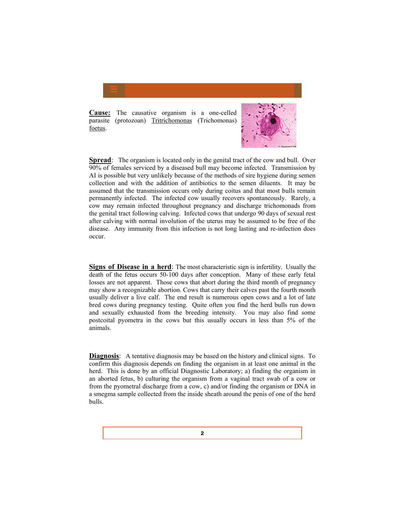**Cause:** The causative organism is a one-celled parasite (protozoan) Tritrichomonas (Trichomonas) foetus.



**Spread**: The organism is located only in the genital tract of the cow and bull. Over 90% of females serviced by a diseased bull may become infected. Transmission by AI is possible but very unlikely because of the methods of sire hygiene during semen collection and with the addition of antibiotics to the semen diluents. It may be assumed that the transmission occurs only during coitus and that most bulls remain permanently infected. The infected cow usually recovers spontaneously. Rarely, a cow may remain infected throughout pregnancy and discharge trichomonads from the genital tract following calving. Infected cows that undergo 90 days of sexual rest after calving with normal involution of the uterus may be assumed to be free of the disease. Any immunity from this infection is not long lasting and re-infection does occur.

**Signs of Disease in a herd**: The most characteristic sign is infertility. Usually the death of the fetus occurs 50-100 days after conception. Many of these early fetal losses are not apparent. Those cows that abort during the third month of pregnancy may show a recognizable abortion. Cows that carry their calves past the fourth month usually deliver a live calf. The end result is numerous open cows and a lot of late bred cows during pregnancy testing. Quite often you find the herd bulls run down and sexually exhausted from the breeding intensity. You may also find some postcoital pyometra in the cows but this usually occurs in less than 5% of the animals.

**Diagnosis:** A tentative diagnosis may be based on the history and clinical signs. To confirm this diagnosis depends on finding the organism in at least one animal in the herd. This is done by an official Diagnostic Laboratory; a) finding the organism in an aborted fetus, b) culturing the organism from a vaginal tract swab of a cow or from the pyometral discharge from a cow, c) and/or finding the organism or DNA in a smegma sample collected from the inside sheath around the penis of one of the herd bulls.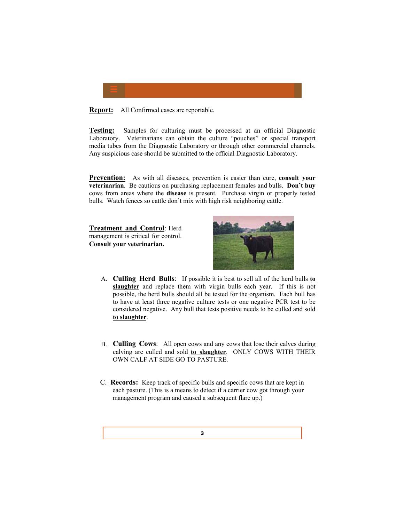

**Report:** All Confirmed cases are reportable.

**Testing:** Samples for culturing must be processed at an official Diagnostic Laboratory. Veterinarians can obtain the culture "pouches" or special transport media tubes from the Diagnostic Laboratory or through other commercial channels. Any suspicious case should be submitted to the official Diagnostic Laboratory.

**Prevention:** As with all diseases, prevention is easier than cure, **consult your veterinarian**. Be cautious on purchasing replacement females and bulls. **Don't buy** cows from areas where the **disease** is present. Purchase virgin or properly tested bulls. Watch fences so cattle don't mix with high risk neighboring cattle.

**Treatment and Control**: Herd management is critical for control. **Consult your veterinarian.**



- A. **Culling Herd Bulls**: If possible it is best to sell all of the herd bulls **to slaughter** and replace them with virgin bulls each year. If this is not possible, the herd bulls should all be tested for the organism. Each bull has to have at least three negative culture tests or one negative PCR test to be considered negative. Any bull that tests positive needs to be culled and sold **to slaughter**.
- B. **Culling Cows**: All open cows and any cows that lose their calves during calving are culled and sold **to slaughter**. ONLY COWS WITH THEIR OWN CALF AT SIDE GO TO PASTURE.
- C. **Records:** Keep track of specific bulls and specific cows that are kept in each pasture. (This is a means to detect if a carrier cow got through your management program and caused a subsequent flare up.)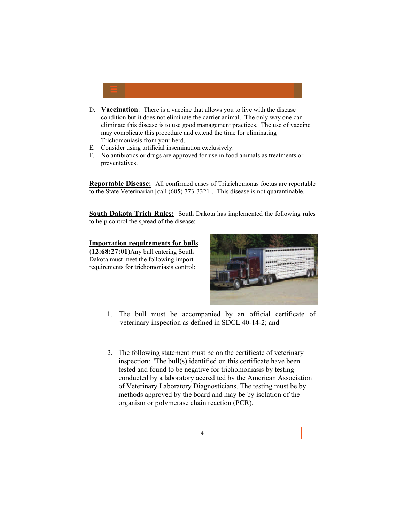

- E. Consider using artificial insemination exclusively.
- F. No antibiotics or drugs are approved for use in food animals as treatments or preventatives.

**Reportable Disease:** All confirmed cases of Tritrichomonas foetus are reportable to the State Veterinarian [call (605) 773-3321]. This disease is not quarantinable.

**South Dakota Trich Rules:** South Dakota has implemented the following rules to help control the spread of the disease:

#### **Importation requirements for bulls**

**(12:68:27:01)**Any bull entering South Dakota must meet the following import requirements for trichomoniasis control:



- 1. The bull must be accompanied by an official certificate of veterinary inspection as defined in SDCL 40-14-2; and
- 2. The following statement must be on the certificate of veterinary inspection: "The bull(s) identified on this certificate have been tested and found to be negative for trichomoniasis by testing conducted by a laboratory accredited by the American Association of Veterinary Laboratory Diagnosticians. The testing must be by methods approved by the board and may be by isolation of the organism or polymerase chain reaction (PCR).

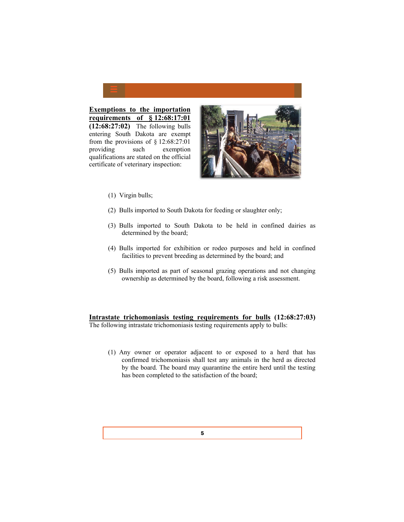

**requirements of § 12:68:17:01 (12:68:27:02)** The following bulls entering South Dakota are exempt from the provisions of  $\S$  12:68:27:01 providing such exemption qualifications are stated on the official certificate of veterinary inspection:



- (1) Virgin bulls;
- (2) Bulls imported to South Dakota for feeding or slaughter only;
- (3) Bulls imported to South Dakota to be held in confined dairies as determined by the board;
- (4) Bulls imported for exhibition or rodeo purposes and held in confined facilities to prevent breeding as determined by the board; and
- (5) Bulls imported as part of seasonal grazing operations and not changing ownership as determined by the board, following a risk assessment.

**Intrastate trichomoniasis testing requirements for bulls (12:68:27:03)**

The following intrastate trichomoniasis testing requirements apply to bulls:

 (1) Any owner or operator adjacent to or exposed to a herd that has confirmed trichomoniasis shall test any animals in the herd as directed by the board. The board may quarantine the entire herd until the testing has been completed to the satisfaction of the board;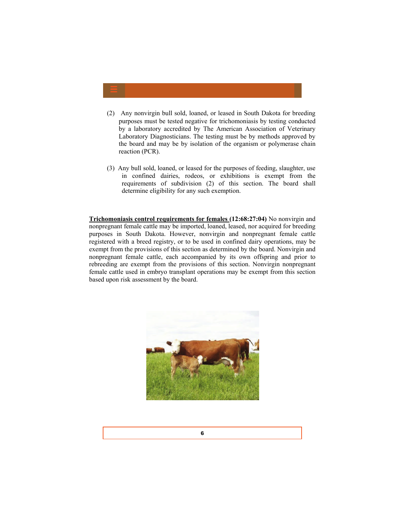- (2) Any nonvirgin bull sold, loaned, or leased in South Dakota for breeding purposes must be tested negative for trichomoniasis by testing conducted by a laboratory accredited by The American Association of Veterinary Laboratory Diagnosticians. The testing must be by methods approved by the board and may be by isolation of the organism or polymerase chain reaction (PCR).
- (3) Any bull sold, loaned, or leased for the purposes of feeding, slaughter, use in confined dairies, rodeos, or exhibitions is exempt from the requirements of subdivision (2) of this section. The board shall determine eligibility for any such exemption.

**Trichomoniasis control requirements for females (12:68:27:04)** No nonvirgin and nonpregnant female cattle may be imported, loaned, leased, nor acquired for breeding purposes in South Dakota. However, nonvirgin and nonpregnant female cattle registered with a breed registry, or to be used in confined dairy operations, may be exempt from the provisions of this section as determined by the board. Nonvirgin and nonpregnant female cattle, each accompanied by its own offspring and prior to rebreeding are exempt from the provisions of this section. Nonvirgin nonpregnant female cattle used in embryo transplant operations may be exempt from this section based upon risk assessment by the board.

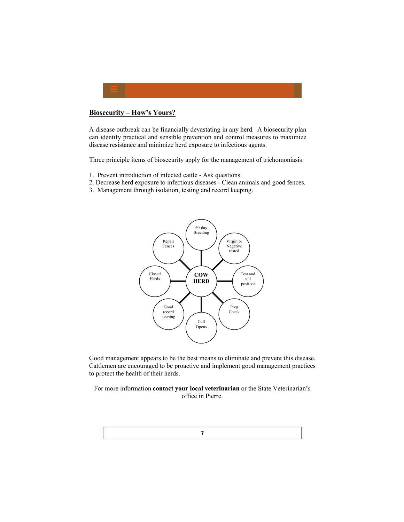

#### **Biosecurity – How's Yours?**

A disease outbreak can be financially devastating in any herd. A biosecurity plan can identify practical and sensible prevention and control measures to maximize disease resistance and minimize herd exposure to infectious agents.

Three principle items of biosecurity apply for the management of trichomoniasis:

- 1. Prevent introduction of infected cattle Ask questions.
- 2. Decrease herd exposure to infectious diseases Clean animals and good fences.
- 3. Management through isolation, testing and record keeping.



Good management appears to be the best means to eliminate and prevent this disease. Cattlemen are encouraged to be proactive and implement good management practices to protect the health of their herds.

For more information **contact your local veterinarian** or the State Veterinarian's office in Pierre.

7